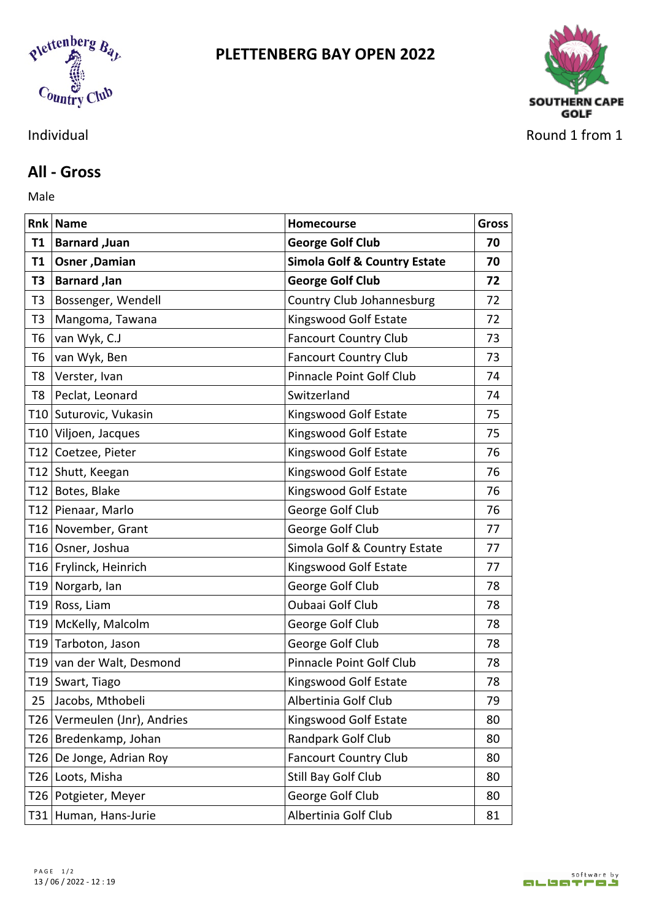



## **All - Gross**

Male **Male** 

|    | Rnk Name                     | Homecourse                              | <b>Gross</b> |
|----|------------------------------|-----------------------------------------|--------------|
| T1 | <b>Barnard, Juan</b>         | <b>George Golf Club</b>                 | 70           |
|    | T1   Osner , Damian          | <b>Simola Golf &amp; Country Estate</b> | 70           |
|    | T3   Barnard , lan           | <b>George Golf Club</b>                 | 72           |
| T3 | Bossenger, Wendell           | Country Club Johannesburg               | 72           |
| T3 | Mangoma, Tawana              | Kingswood Golf Estate                   | 72           |
| T6 | van Wyk, C.J                 | <b>Fancourt Country Club</b>            | 73           |
| T6 | van Wyk, Ben                 | <b>Fancourt Country Club</b>            | 73           |
|    | T8 Verster, Ivan             | Pinnacle Point Golf Club                | 74           |
|    | T8   Peclat, Leonard         | Switzerland                             | 74           |
|    | T10 Suturovic, Vukasin       | Kingswood Golf Estate                   | 75           |
|    | T10 Viljoen, Jacques         | Kingswood Golf Estate                   | 75           |
|    | T12 Coetzee, Pieter          | Kingswood Golf Estate                   | 76           |
|    | T12 Shutt, Keegan            | Kingswood Golf Estate                   | 76           |
|    | T12 Botes, Blake             | Kingswood Golf Estate                   | 76           |
|    | T12 Pienaar, Marlo           | George Golf Club                        | 76           |
|    | T16 November, Grant          | George Golf Club                        | 77           |
|    | T16 Osner, Joshua            | Simola Golf & Country Estate            | 77           |
|    | T16 Frylinck, Heinrich       | Kingswood Golf Estate                   | 77           |
|    | T19 Norgarb, Ian             | George Golf Club                        | 78           |
|    | T19 Ross, Liam               | Oubaai Golf Club                        | 78           |
|    | T19 McKelly, Malcolm         | George Golf Club                        | 78           |
|    | T19 Tarboton, Jason          | George Golf Club                        | 78           |
|    | T19 van der Walt, Desmond    | Pinnacle Point Golf Club                | 78           |
|    | T19 Swart, Tiago             | Kingswood Golf Estate                   | 78           |
|    | 25 Jacobs, Mthobeli          | Albertinia Golf Club                    | 79           |
|    | T26 Vermeulen (Jnr), Andries | Kingswood Golf Estate                   | 80           |
|    | T26 Bredenkamp, Johan        | Randpark Golf Club                      | 80           |
|    | T26 De Jonge, Adrian Roy     | <b>Fancourt Country Club</b>            | 80           |
|    | T26 Loots, Misha             | Still Bay Golf Club                     | 80           |
|    | T26 Potgieter, Meyer         | George Golf Club                        | 80           |
|    | T31 Human, Hans-Jurie        | Albertinia Golf Club                    | 81           |